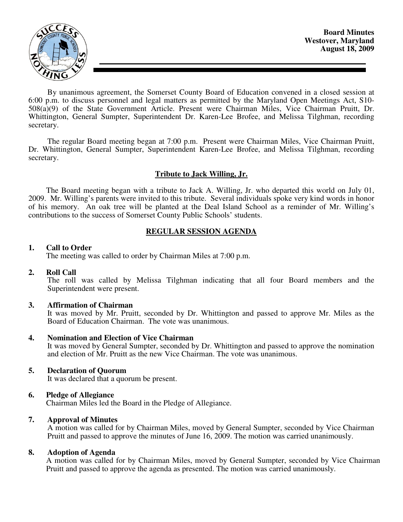

By unanimous agreement, the Somerset County Board of Education convened in a closed session at 6:00 p.m. to discuss personnel and legal matters as permitted by the Maryland Open Meetings Act, S10- 508(a)(9) of the State Government Article. Present were Chairman Miles, Vice Chairman Pruitt, Dr. Whittington, General Sumpter, Superintendent Dr. Karen-Lee Brofee, and Melissa Tilghman, recording secretary.

The regular Board meeting began at 7:00 p.m. Present were Chairman Miles, Vice Chairman Pruitt, Dr. Whittington, General Sumpter, Superintendent Karen-Lee Brofee, and Melissa Tilghman, recording secretary.

# **Tribute to Jack Willing, Jr.**

 The Board meeting began with a tribute to Jack A. Willing, Jr. who departed this world on July 01, 2009. Mr. Willing's parents were invited to this tribute. Several individuals spoke very kind words in honor of his memory. An oak tree will be planted at the Deal Island School as a reminder of Mr. Willing's contributions to the success of Somerset County Public Schools' students.

# **REGULAR SESSION AGENDA**

### **1. Call to Order**

The meeting was called to order by Chairman Miles at 7:00 p.m.

# **2. Roll Call**

The roll was called by Melissa Tilghman indicating that all four Board members and the Superintendent were present.

# **3. Affirmation of Chairman**

It was moved by Mr. Pruitt, seconded by Dr. Whittington and passed to approve Mr. Miles as the Board of Education Chairman. The vote was unanimous.

#### **4. Nomination and Election of Vice Chairman**

It was moved by General Sumpter, seconded by Dr. Whittington and passed to approve the nomination and election of Mr. Pruitt as the new Vice Chairman. The vote was unanimous.

# **5. Declaration of Quorum**

It was declared that a quorum be present.

# **6. Pledge of Allegiance**

Chairman Miles led the Board in the Pledge of Allegiance.

#### **7. Approval of Minutes**

 A motion was called for by Chairman Miles, moved by General Sumpter, seconded by Vice Chairman Pruitt and passed to approve the minutes of June 16, 2009. The motion was carried unanimously.

#### **8. Adoption of Agenda**

 A motion was called for by Chairman Miles, moved by General Sumpter, seconded by Vice Chairman Pruitt and passed to approve the agenda as presented. The motion was carried unanimously.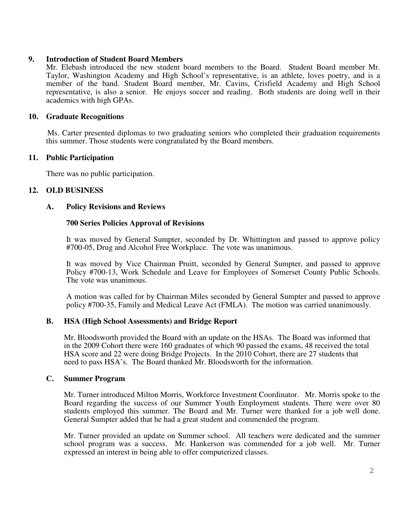# **9. Introduction of Student Board Members**

Mr. Elebash introduced the new student board members to the Board. Student Board member Mr. Taylor, Washington Academy and High School's representative, is an athlete, loves poetry, and is a member of the band. Student Board member, Mr. Cavins, Crisfield Academy and High School representative, is also a senior. He enjoys soccer and reading. Both students are doing well in their academics with high GPAs.

### **10. Graduate Recognitions**

 Ms. Carter presented diplomas to two graduating seniors who completed their graduation requirements this summer. Those students were congratulated by the Board members.

# **11. Public Participation**

There was no public participation.

# **12. OLD BUSINESS**

### **A. Policy Revisions and Reviews**

### **700 Series Policies Approval of Revisions**

 It was moved by General Sumpter, seconded by Dr. Whittington and passed to approve policy #700-05, Drug and Alcohol Free Workplace. The vote was unanimous.

 It was moved by Vice Chairman Pruitt, seconded by General Sumpter, and passed to approve Policy #700-13, Work Schedule and Leave for Employees of Somerset County Public Schools. The vote was unanimous.

 A motion was called for by Chairman Miles seconded by General Sumpter and passed to approve policy #700-35, Family and Medical Leave Act (FMLA). The motion was carried unanimously.

# **B. HSA (High School Assessments) and Bridge Report**

Mr. Bloodsworth provided the Board with an update on the HSAs. The Board was informed that in the 2009 Cohort there were 160 graduates of which 90 passed the exams, 48 received the total HSA score and 22 were doing Bridge Projects. In the 2010 Cohort, there are 27 students that need to pass HSA's. The Board thanked Mr. Bloodsworth for the information.

#### **C. Summer Program**

Mr. Turner introduced Milton Morris, Workforce Investment Coordinator. Mr. Morris spoke to the Board regarding the success of our Summer Youth Employment students. There were over 80 students employed this summer. The Board and Mr. Turner were thanked for a job well done. General Sumpter added that he had a great student and commended the program.

Mr. Turner provided an update on Summer school. All teachers were dedicated and the summer school program was a success. Mr. Hankerson was commended for a job well. Mr. Turner expressed an interest in being able to offer computerized classes.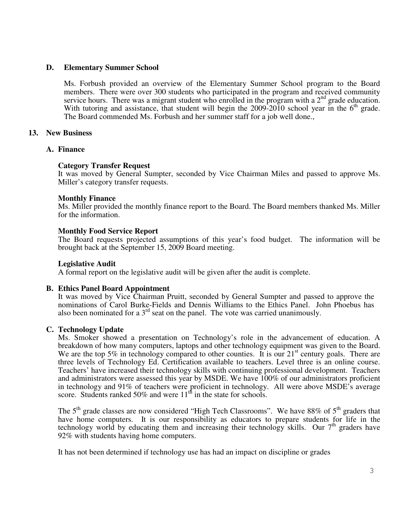### **D. Elementary Summer School**

Ms. Forbush provided an overview of the Elementary Summer School program to the Board members. There were over 300 students who participated in the program and received community service hours. There was a migrant student who enrolled in the program with a  $2<sup>nd</sup>$  grade education. With tutoring and assistance, that student will begin the  $2009-2010$  school year in the  $6<sup>th</sup>$  grade. The Board commended Ms. Forbush and her summer staff for a job well done.,

# **13. New Business**

#### **A. Finance**

### **Category Transfer Request**

It was moved by General Sumpter, seconded by Vice Chairman Miles and passed to approve Ms. Miller's category transfer requests.

### **Monthly Finance**

Ms. Miller provided the monthly finance report to the Board. The Board members thanked Ms. Miller for the information.

### **Monthly Food Service Report**

The Board requests projected assumptions of this year's food budget. The information will be brought back at the September 15, 2009 Board meeting.

#### **Legislative Audit**

A formal report on the legislative audit will be given after the audit is complete.

#### **B. Ethics Panel Board Appointment**

It was moved by Vice Chairman Pruitt, seconded by General Sumpter and passed to approve the nominations of Carol Burke-Fields and Dennis Williams to the Ethics Panel. John Phoebus has also been nominated for a 3<sup>rd</sup> seat on the panel. The vote was carried unanimously.

#### **C. Technology Update**

Ms. Smoker showed a presentation on Technology's role in the advancement of education. A breakdown of how many computers, laptops and other technology equipment was given to the Board. We are the top 5% in technology compared to other counties. It is our  $21<sup>st</sup>$  century goals. There are three levels of Technology Ed. Certification available to teachers. Level three is an online course. Teachers' have increased their technology skills with continuing professional development. Teachers and administrators were assessed this year by MSDE. We have 100% of our administrators proficient in technology and 91% of teachers were proficient in technology. All were above MSDE's average score. Students ranked 50% and were  $11<sup>th</sup>$  in the state for schools.

The  $5<sup>th</sup>$  grade classes are now considered "High Tech Classrooms". We have 88% of  $5<sup>th</sup>$  graders that have home computers. It is our responsibility as educators to prepare students for life in the technology world by educating them and increasing their technology skills. Our  $7<sup>th</sup>$  graders have 92% with students having home computers.

It has not been determined if technology use has had an impact on discipline or grades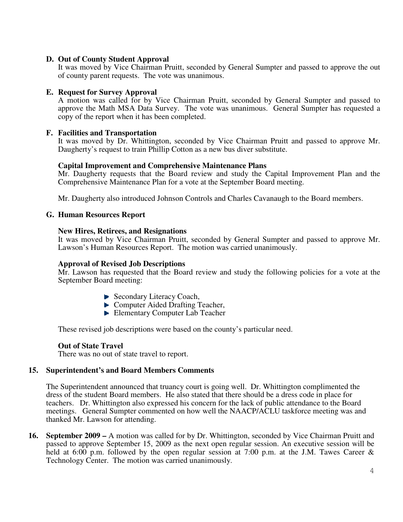### **D. Out of County Student Approval**

It was moved by Vice Chairman Pruitt, seconded by General Sumpter and passed to approve the out of county parent requests. The vote was unanimous.

### **E. Request for Survey Approval**

A motion was called for by Vice Chairman Pruitt, seconded by General Sumpter and passed to approve the Math MSA Data Survey. The vote was unanimous. General Sumpter has requested a copy of the report when it has been completed.

### **F. Facilities and Transportation**

It was moved by Dr. Whittington, seconded by Vice Chairman Pruitt and passed to approve Mr. Daugherty's request to train Phillip Cotton as a new bus diver substitute.

### **Capital Improvement and Comprehensive Maintenance Plans**

Mr. Daugherty requests that the Board review and study the Capital Improvement Plan and the Comprehensive Maintenance Plan for a vote at the September Board meeting.

Mr. Daugherty also introduced Johnson Controls and Charles Cavanaugh to the Board members.

#### **G. Human Resources Report**

### **New Hires, Retirees, and Resignations**

It was moved by Vice Chairman Pruitt, seconded by General Sumpter and passed to approve Mr. Lawson's Human Resources Report. The motion was carried unanimously.

#### **Approval of Revised Job Descriptions**

Mr. Lawson has requested that the Board review and study the following policies for a vote at the September Board meeting:

- ▶ Secondary Literacy Coach,
- ► Computer Aided Drafting Teacher,
- Elementary Computer Lab Teacher

These revised job descriptions were based on the county's particular need.

# **Out of State Travel**

There was no out of state travel to report.

#### **15. Superintendent's and Board Members Comments**

The Superintendent announced that truancy court is going well. Dr. Whittington complimented the dress of the student Board members. He also stated that there should be a dress code in place for teachers. Dr. Whittington also expressed his concern for the lack of public attendance to the Board meetings. General Sumpter commented on how well the NAACP/ACLU taskforce meeting was and thanked Mr. Lawson for attending.

**16. September 2009 –** A motion was called for by Dr. Whittington, seconded by Vice Chairman Pruitt and passed to approve September 15, 2009 as the next open regular session. An executive session will be held at 6:00 p.m. followed by the open regular session at 7:00 p.m. at the J.M. Tawes Career & Technology Center. The motion was carried unanimously.